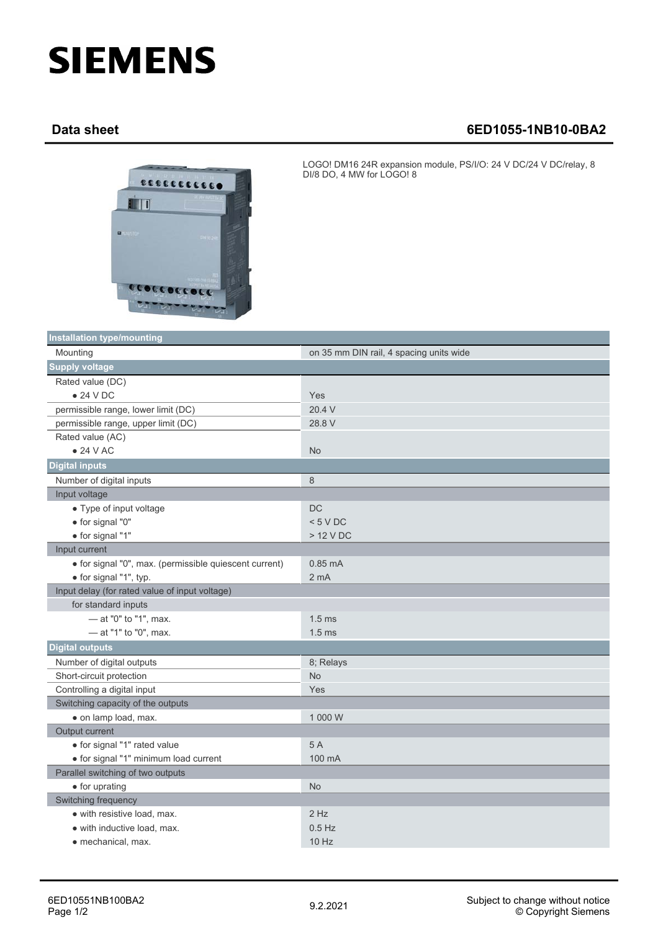## **SIEMENS**

## **Data sheet 6ED1055-1NB10-0BA2**



LOGO! DM16 24R expansion module, PS/I/O: 24 V DC/24 V DC/relay, 8 DI/8 DO, 4 MW for LOGO! 8

| <b>Installation type/mounting</b>                      |                                         |  |
|--------------------------------------------------------|-----------------------------------------|--|
| Mounting                                               | on 35 mm DIN rail, 4 spacing units wide |  |
| <b>Supply voltage</b>                                  |                                         |  |
| Rated value (DC)                                       |                                         |  |
| $\bullet$ 24 V DC                                      | Yes                                     |  |
| permissible range, lower limit (DC)                    | 20.4 V                                  |  |
| permissible range, upper limit (DC)                    | 28.8 V                                  |  |
| Rated value (AC)                                       |                                         |  |
| $\bullet$ 24 V AC                                      | <b>No</b>                               |  |
| <b>Digital inputs</b>                                  |                                         |  |
| Number of digital inputs                               | 8                                       |  |
| Input voltage                                          |                                         |  |
| • Type of input voltage                                | $DC$                                    |  |
| · for signal "0"                                       | < 5 VDC                                 |  |
| · for signal "1"                                       | $>12$ V DC                              |  |
| Input current                                          |                                         |  |
| · for signal "0", max. (permissible quiescent current) | $0.85 \text{ mA}$                       |  |
| • for signal "1", typ.                                 | 2 <sub>m</sub> A                        |  |
| Input delay (for rated value of input voltage)         |                                         |  |
| for standard inputs                                    |                                         |  |
| - at "0" to "1", max.                                  | $1.5$ ms                                |  |
| - at "1" to "0", max.                                  | 1.5 <sub>ms</sub>                       |  |
| <b>Digital outputs</b>                                 |                                         |  |
| Number of digital outputs                              | 8; Relays                               |  |
| Short-circuit protection                               | <b>No</b>                               |  |
| Controlling a digital input                            | Yes                                     |  |
| Switching capacity of the outputs                      |                                         |  |
| · on lamp load, max.                                   | 1 000 W                                 |  |
| Output current                                         |                                         |  |
| • for signal "1" rated value                           | 5A                                      |  |
| · for signal "1" minimum load current                  | 100 mA                                  |  |
| Parallel switching of two outputs                      |                                         |  |
| • for uprating                                         | <b>No</b>                               |  |
| Switching frequency                                    |                                         |  |
| • with resistive load, max.                            | $2$ Hz                                  |  |
| • with inductive load, max.                            | $0.5$ Hz                                |  |
| • mechanical, max.                                     | 10 Hz                                   |  |